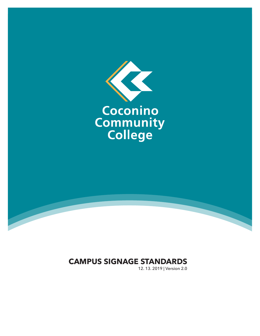

# **CAMPUS SIGNAGE STANDARDS**

12. 13. 2019 | Version 2.0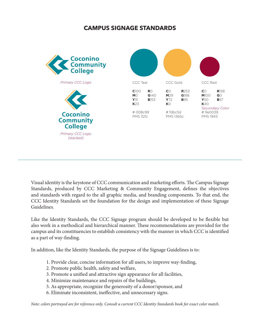# **CAMPUS SIGNAGE STANDARDS**



Visual identity is the keystone of CCC communication and marketing efforts. The Campus Signage Standards, produced by CCC Marketing & Community Engagement, defines the objectives and standards with regard to the all graphic media, and branding components. To that end, the CCC Identity Standards set the foundation for the design and implementation of these Signage Guidelines.

Like the Identity Standards, the CCC Signage program should be developed to be flexible but also work in a methodical and hierarchical manner. These recommendations are provided for the campus and its constituencies to establish consistency with the manner in which CCC is identified as a part of way-finding.

In addition, like the Identity Standards, the purpose of the Signage Guidelines is to:

- 1. Provide clear, concise information for all users, to improve way-finding,
- 2. Promote public health, safety and welfare,
- 3. Promote a unified and attractive sign appearance for all facilities,
- 4. Minimize maintenance and repairs of the buildings,
- 5. As appropriate, recognize the generosity of a donor/sponsor, and
- 6. Eliminate inconsistent, ineffective, and unnecessary signs.

*Note: colors portrayed are for reference only. Consult a current CCC Identity Standards book for exact color match.*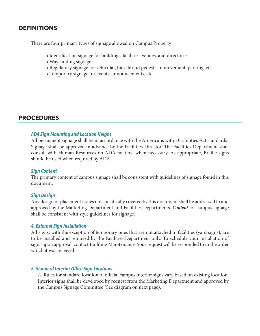# **DEFINITIONS**

There are four primary types of signage allowed on Campus Property:

- Identification signage for buildings, facilities, venues, and directories
- Way-finding signage
- Regulatory signage for vehicular, bicycle and pedestrian movement, parking, etc.
- Temporary signage for events, announcements, etc.

## **PROCEDURES**

#### *ADA Sign Mounting and Location Height*

All permanent signage shall be in accordance with the Americans with Disabilities Act standards. Signage shall be approved in advance by the Facilities Director. The Facilities Department shall consult with Human Resources on ADA matters, when necessary. As appropriate, Braille signs should be used when required by ADA.

#### *Sign Content*

The primary content of campus signage shall be consistent with guidelines of signage found in this document.

#### *Sign Design*

Any design or placement issues not specifically covered by this document shall be addressed to and approved by the Marketing Department and Facilities Departments. *Content* for campus signage shall be consistent with style guidelines for signage.

#### *4. External Sign Installation*

All signs, with the exception of temporary ones that are not attached to facilities (yard signs), are to be installed and removed by the Facilities Department only. To schedule your installation of signs upon approval, contact Building Maintenance. Your request will be responded to in the order which it was received.

#### *5. Standard Interior Office Sign Locations*

*A.* Rules for standard location of official campus interior signs vary based on existing location. Interior signs shall be developed by request from the Marketing Department and approved by the Campus Signage Committee (See diagram on next page).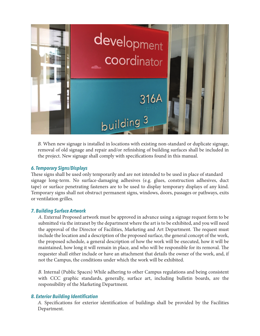

*B.* When new signage is installed in locations with existing non-standard or duplicate signage, removal of old signage and repair and/or refinishing of building surfaces shall be included in the project. New signage shall comply with specifications found in this manual.

## *6. Temporary Signs/Displays*

These signs shall be used only temporarily and are not intended to be used in place of standard signage long-term. No surface-damaging adhesives (e.g. glues, construction adhesives, duct tape) or surface penetrating fasteners are to be used to display temporary displays of any kind. Temporary signs shall not obstruct permanent signs, windows, doors, passages or pathways, exits or ventilation grilles.

## *7. Building Surface Artwork*

*A.* External Proposed artwork must be approved in advance using a signage request form to be submitted via the intranet by the department where the art is to be exhibited, and you will need the approval of the Director of Facilities, Marketing and Art Department. The request must include the location and a description of the proposed surface, the general concept of the work, the proposed schedule, a general description of how the work will be executed, how it will be maintained, how long it will remain in place, and who will be responsible for its removal. The requester shall either include or have an attachment that details the owner of the work, and, if not the Campus, the conditions under which the work will be exhibited.

*B.* Internal (Public Spaces) While adhering to other Campus regulations and being consistent with CCC graphic standards, generally, surface art, including bulletin boards, are the responsibility of the Marketing Department.

## *8. Exterior Building Identification*

*A.* Specifications for exterior identification of buildings shall be provided by the Facilities Department.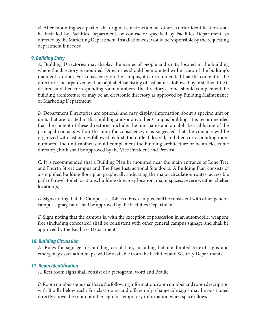*B.* After mounting as a part of the original construction, all other exterior identification shall be installed by Facilities Department, or contractor specified by Facilities Department, as directed by the Marketing Department. Installation cost would be responsible by the requesting department if needed.

## *9. Building Entry*

*A.* Building Directories may display the names of people and units, located in the building where the directory is mounted. Directories should be mounted within view of the building's main entry doors. For consistency on the campus, it is recommended that the content of the directories be organized with an alphabetical listing of last names, followed by first, then title if desired, and then corresponding room numbers. The directory cabinet should complement the building architecture or may be an electronic directory as approved by Building Maintenance or Marketing Department.

*B.* Department Directories are optional and may display information about a specific unit or units that are located in that building and/or any other Campus building. It is recommended that the content of these directories include: the unit name and an alphabetical listing of the principal contacts within the unit; for consistency, it is suggested that the contacts will be organized with last names followed by first, then title if desired, and then corresponding room numbers. The unit cabinet should complement the building architecture or be an electronic directory; both shall be approved by the Vice President and Provost.

*C.* It is recommended that a Building Plan be mounted near the main entrance of Lone Tree and Fourth Street campus and The Page Instructional Site doors. A Building Plan consists of a simplified building floor plan graphically indicating the major circulation routes, accessible path of travel, toilet locations, building directory location, major spaces, severe weather shelter location(s).

*D.* Signs noting that the Campus is a Tobacco Free campus shall be consistent with other general campus signage and shall be approved by the Facilities Department.

*E.* Signs noting that the campus is, with the exception of possession in an automobile, weapons free (including concealed) shall be consistent with other general campus signage and shall be approved by the Facilities Department

## *10. Building Circulation*

*A.* Rules for signage for building circulation, including but not limited to exit signs and emergency evacuation maps, will be available from the Facilities and Security Departments.

## *11. Room Identification*

*A.* Rest room signs shall consist of a pictogram, word and Braille.

*B.* Room number signs shall have the following information: room number and room description with Braille below each. For classrooms and offices only, changeable signs may be positioned directly above the room number sign for temporary information when space allows.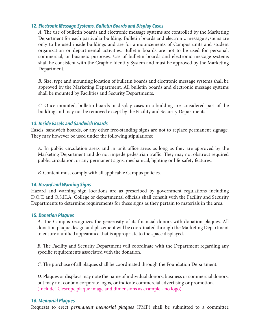## *12. Electronic Message Systems, Bulletin Boards and Display Cases*

*A.* The use of bulletin boards and electronic message systems are controlled by the Marketing Department for each particular building. Bulletin boards and electronic message systems are only to be used inside buildings and are for announcements of Campus units and student organization or departmental activities. Bulletin boards are not to be used for personal, commercial, or business purposes. Use of bulletin boards and electronic message systems shall be consistent with the Graphic Identity System and must be approved by the Marketing Department.

*B.* Size, type and mounting location of bulletin boards and electronic message systems shall be approved by the Marketing Department. All bulletin boards and electronic message systems shall be mounted by Facilities and Security Departments.

*C.* Once mounted, bulletin boards or display cases in a building are considered part of the building and may not be removed except by the Facility and Security Departments.

## *13. Inside Easels and Sandwich Boards*

Easels, sandwich boards, or any other free-standing signs are not to replace permanent signage. They may however be used under the following stipulations:

*A.* In public circulation areas and in unit office areas as long as they are approved by the Marketing Department and do not impede pedestrian traffic. They may not obstruct required public circulation, or any permanent signs, mechanical, lighting or life-safety features.

*B.* Content must comply with all applicable Campus policies.

## *14. Hazard and Warning Signs*

Hazard and warning sign locations are as prescribed by government regulations including D.O.T. and O.S.H.A. College or departmental officials shall consult with the Facility and Security Departments to determine requirements for these signs as they pertain to materials in the area.

#### *15. Donation Plaques*

*A.* The Campus recognizes the generosity of its financial donors with donation plaques. All donation plaque design and placement will be coordinated through the Marketing Department to ensure a unified appearance that is appropriate to the space displayed.

*B.* The Facility and Security Department will coordinate with the Department regarding any specific requirements associated with the donation.

*C.* The purchase of all plaques shall be coordinated through the Foundation Department.

*D.* Plaques or displays may note the name of individual donors, business or commercial donors, but may not contain corporate logos, or indicate commercial advertising or promotion. (Include Telescope plaque image and dimensions as example - no logo)

## *16. Memorial Plaques*

Requests to erect *permanent memorial plaques* (PMP) shall be submitted to a committee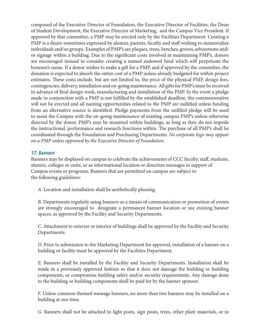composed of the Executive Director of Foundation, the Executive Director of Facilities, the Dean of Student Development, the Executive Director of Marketing, and the Campus Vice President. If approved by that committee, a PMP may be erected only by the Facilities Department. Creating a PMP is a desire sometimes expressed by alumni, parents, faculty and staff wishing to memorialize individuals and/or groups. Examples of PMP's are plaques, trees, benches, groves, arboretums and/ or signage within a building. Due to the significant costs involved in maintaining PMP's, donors are encouraged instead to consider creating a named endowed fund which will perpetuate the honoree's name. If a donor wishes to make a gift for a PMP, and if approved by the committee, the donation is expected to absorb the entire cost of a PMP unless already budgeted for within project estimates. These costs include, but are not limited to, the price of the physical PMP, design fees, contingencies, delivery, installation and on-going maintenance. All gifts for PMP's must be received in advance of final design work, manufacturing and installation of the PMP. In the event a pledge made in conjunction with a PMP is not fulfilled by the established deadline, the commemorative will not be erected and all naming opportunities related to the PMP are nullified unless funding from an alternative source is identified. Pledge payments from the unfilled pledge will be used to assist the Campus with the on-going maintenance of existing campus PMP's unless otherwise directed by the donor. PMP's may be mounted within buildings, as long as they do not impede the instructional, performance and research functions within. The purchase of all PMP's shall be coordinated through the Foundation and Purchasing Departments. *No corporate logo may appear on a PMP unless approved by the Executive Director of Foundation.*

#### *17. Banners*

Banners may be displayed on campus to celebrate the achievements of CCC faculty, staff, students, alumni, colleges or units, or as informational location or direction messages in support of Campus events or programs. Banners that are permitted on campus are subject to the following guidelines:

*A.* Location and installation shall be aesthetically pleasing.

*B.* Departments regularly using banners as a means of communication or promotion of events are strongly encouraged to designate a permanent banner location or use existing banner spaces, as approved by the Facility and Security Departments.

*C.* Attachment to exterior or interior of buildings shall be approved by the Facility and Security Departments.

*D.* Prior to submission to the Marketing Department for approval, installation of a banner on a building or facility must be approved by the Facilities Department.

*E.* Banners shall be installed by the Facility and Security Departments. Installation shall be made in a previously approved fashion so that it does not damage the building or building components, or compromise building safety and/or security requirements. Any damage done to the building or building components shall be paid for by the banner sponsor.

*F.* Unless common themed message banners, no more than two banners may be installed on a building at one time.

*G.* Banners shall not be attached to light posts, sign posts, trees, other plant materials, or to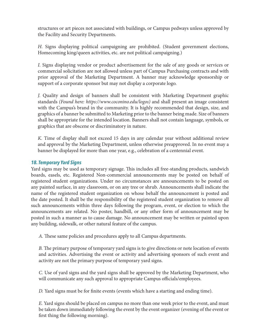structures or art pieces not associated with buildings, or Campus pedways unless approved by the Facility and Security Departments.

*H.* Signs displaying political campaigning are prohibited. (Student government elections, Homecoming king/queen activities, etc. are not political campaigning.)

*I.* Signs displaying vendor or product advertisement for the sale of any goods or services or commercial solicitation are not allowed unless part of Campus Purchasing contracts and with prior approval of the Marketing Department. A banner may acknowledge sponsorship or support of a corporate sponsor but may not display a corporate logo.

*J.* Quality and design of banners shall be consistent with Marketing Department graphic standards *(Found here: https://www.coconino.edu/logos)* and shall present an image consistent with the Campus's brand in the community. It is highly recommended that design, size, and graphics of a banner be submitted to Marketing prior to the banner being made. Size of banners shall be appropriate for the intended location. Banners shall not contain language, symbols, or graphics that are obscene or discriminatory in nature.

*K.* Time of display shall not exceed 15 days in any calendar year without additional review and approval by the Marketing Department, unless otherwise preapproved. In no event may a banner be displayed for more than one year, e.g., celebration of a centennial event.

## *18. Temporary Yard Signs*

Yard signs may be used as temporary signage. This includes all free-standing products, sandwich boards, easels, etc. Registered Non-commercial announcements may be posted on behalf of registered student organizations. Under no circumstances are announcements to be posted on any painted surface, in any classroom, or on any tree or shrub. Announcements shall indicate the name of the registered student organization on whose behalf the announcement is posted and the date posted. It shall be the responsibility of the registered student organization to remove all such announcements within three days following the program, event, or election to which the announcements are related. No poster, handbill, or any other form of announcement may be posted in such a manner as to cause damage. No announcement may be written or painted upon any building, sidewalk, or other natural feature of the campus.

*A.* These same policies and procedures apply to all Campus departments.

*B.* The primary purpose of temporary yard signs is to give directions or note location of events and activities. Advertising the event or activity and advertising sponsors of such event and activity are not the primary purpose of temporary yard signs.

*C.* Use of yard signs and the yard signs shall be approved by the Marketing Department, who will communicate any such approval to appropriate Campus officials/employees.

*D.* Yard signs must be for finite events (events which have a starting and ending time).

*E.* Yard signs should be placed on campus no more than one week prior to the event, and must be taken down immediately following the event by the event organizer (evening of the event or first thing the following morning).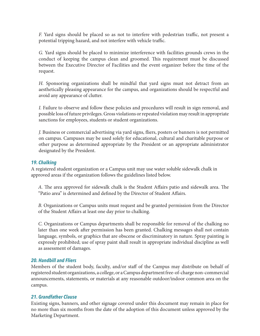*F.* Yard signs should be placed so as not to interfere with pedestrian traffic, not present a potential tripping hazard, and not interfere with vehicle traffic.

*G.* Yard signs should be placed to minimize interference with facilities grounds crews in the conduct of keeping the campus clean and groomed. This requirement must be discussed between the Executive Director of Facilities and the event organizer before the time of the request.

*H.* Sponsoring organizations shall be mindful that yard signs must not detract from an aesthetically pleasing appearance for the campus, and organizations should be respectful and avoid any appearance of clutter.

*I.* Failure to observe and follow these policies and procedures will result in sign removal, and possible loss of future privileges. Gross violations or repeated violation may result in appropriate sanctions for employees, students or student organizations.

*J.* Business or commercial advertising via yard signs, fliers, posters or banners is not permitted on campus. Campuses may be used solely for educational, cultural and charitable purpose or other purpose as determined appropriate by the President or an appropriate administrator designated by the President.

#### *19. Chalking*

A registered student organization or a Campus unit may use water soluble sidewalk chalk in approved areas if the organization follows the guidelines listed below.

*A.* The area approved for sidewalk chalk is the Student Affairs patio and sidewalk area. The "Patio area" is determined and defined by the Director of Student Affairs.

*B.* Organizations or Campus units must request and be granted permission from the Director of the Student Affairs at least one day prior to chalking.

*C.* Organizations or Campus departments shall be responsible for removal of the chalking no later than one week after permission has been granted. Chalking messages shall not contain language, symbols, or graphics that are obscene or discriminatory in nature. Spray painting is expressly prohibited; use of spray paint shall result in appropriate individual discipline as well as assessment of damages.

#### *20. Handbill and Fliers*

Members of the student body, faculty, and/or staff of the Campus may distribute on behalf of registered student organizations, a college, or a Campus department free-of-charge non-commercial announcements, statements, or materials at any reasonable outdoor/indoor common area on the campus.

## *21. Grandfather Clause*

Existing signs, banners, and other signage covered under this document may remain in place for no more than six months from the date of the adoption of this document unless approved by the Marketing Department.